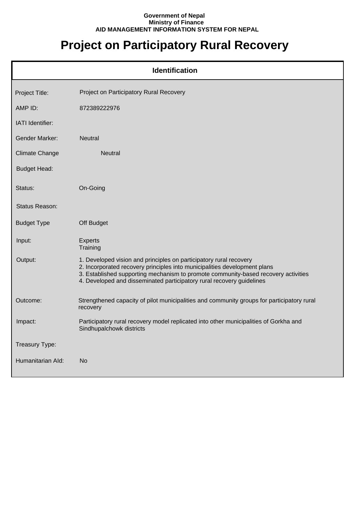## **Government of Nepal Ministry of Finance AID MANAGEMENT INFORMATION SYSTEM FOR NEPAL**

## **Project on Participatory Rural Recovery**

| <b>Identification</b> |                                                                                                                                                                                                                                                                                                                |  |
|-----------------------|----------------------------------------------------------------------------------------------------------------------------------------------------------------------------------------------------------------------------------------------------------------------------------------------------------------|--|
| Project Title:        | Project on Participatory Rural Recovery                                                                                                                                                                                                                                                                        |  |
| AMP ID:               | 872389222976                                                                                                                                                                                                                                                                                                   |  |
| IATI Identifier:      |                                                                                                                                                                                                                                                                                                                |  |
| <b>Gender Marker:</b> | <b>Neutral</b>                                                                                                                                                                                                                                                                                                 |  |
| <b>Climate Change</b> | <b>Neutral</b>                                                                                                                                                                                                                                                                                                 |  |
| <b>Budget Head:</b>   |                                                                                                                                                                                                                                                                                                                |  |
| Status:               | On-Going                                                                                                                                                                                                                                                                                                       |  |
| Status Reason:        |                                                                                                                                                                                                                                                                                                                |  |
| <b>Budget Type</b>    | Off Budget                                                                                                                                                                                                                                                                                                     |  |
| Input:                | <b>Experts</b><br>Training                                                                                                                                                                                                                                                                                     |  |
| Output:               | 1. Developed vision and principles on participatory rural recovery<br>2. Incorporated recovery principles into municipalities development plans<br>3. Established supporting mechanism to promote community-based recovery activities<br>4. Developed and disseminated participatory rural recovery guidelines |  |
| Outcome:              | Strengthened capacity of pilot municipalities and community groups for participatory rural<br>recovery                                                                                                                                                                                                         |  |
| Impact:               | Participatory rural recovery model replicated into other municipalities of Gorkha and<br>Sindhupalchowk districts                                                                                                                                                                                              |  |
| Treasury Type:        |                                                                                                                                                                                                                                                                                                                |  |
| Humanitarian Ald:     | <b>No</b>                                                                                                                                                                                                                                                                                                      |  |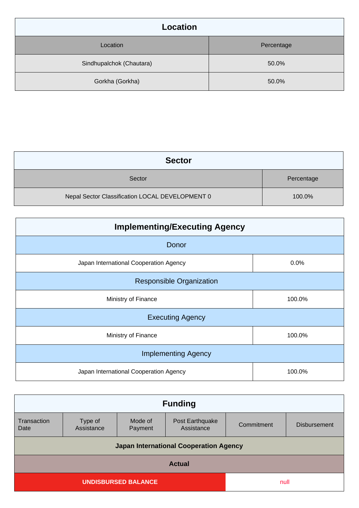| <b>Location</b>          |            |  |
|--------------------------|------------|--|
| Location                 | Percentage |  |
| Sindhupalchok (Chautara) | 50.0%      |  |
| Gorkha (Gorkha)          | 50.0%      |  |

| <b>Sector</b>                                   |            |  |
|-------------------------------------------------|------------|--|
| Sector                                          | Percentage |  |
| Nepal Sector Classification LOCAL DEVELOPMENT 0 | 100.0%     |  |

| <b>Implementing/Executing Agency</b>   |        |  |  |
|----------------------------------------|--------|--|--|
| Donor                                  |        |  |  |
| Japan International Cooperation Agency | 0.0%   |  |  |
| <b>Responsible Organization</b>        |        |  |  |
| Ministry of Finance                    | 100.0% |  |  |
| <b>Executing Agency</b>                |        |  |  |
| Ministry of Finance                    | 100.0% |  |  |
| <b>Implementing Agency</b>             |        |  |  |
| Japan International Cooperation Agency | 100.0% |  |  |

| <b>Funding</b>                                |                    |                               |            |                     |
|-----------------------------------------------|--------------------|-------------------------------|------------|---------------------|
| Type of<br>Assistance                         | Mode of<br>Payment | Post Earthquake<br>Assistance | Commitment | <b>Disbursement</b> |
| <b>Japan International Cooperation Agency</b> |                    |                               |            |                     |
| <b>Actual</b>                                 |                    |                               |            |                     |
| <b>UNDISBURSED BALANCE</b>                    |                    |                               |            |                     |
|                                               |                    |                               |            | null                |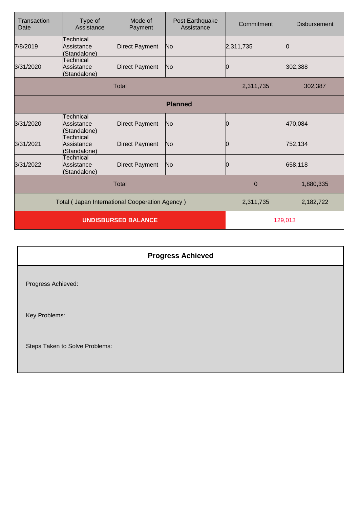| Transaction<br>Date                            | Type of<br>Assistance                   | Mode of<br>Payment    | Post Earthquake<br>Assistance | Commitment  | <b>Disbursement</b> |
|------------------------------------------------|-----------------------------------------|-----------------------|-------------------------------|-------------|---------------------|
| 7/8/2019                                       | Technical<br>Assistance<br>(Standalone) | <b>Direct Payment</b> | No.                           | 2,311,735   |                     |
| 3/31/2020                                      | Technical<br>Assistance<br>(Standalone) | <b>Direct Payment</b> | No.                           | 10          | 302,388             |
|                                                |                                         | Total                 |                               | 2,311,735   | 302,387             |
|                                                |                                         |                       | <b>Planned</b>                |             |                     |
| 3/31/2020                                      | Technical<br>Assistance<br>(Standalone) | <b>Direct Payment</b> | No                            | Ю           | 470,084             |
| 3/31/2021                                      | Technical<br>Assistance<br>(Standalone) | <b>Direct Payment</b> | N <sub>o</sub>                | 0           | 752,134             |
| 3/31/2022                                      | Technical<br>Assistance<br>(Standalone) | <b>Direct Payment</b> | No                            | 10          | 658,118             |
|                                                |                                         | <b>Total</b>          |                               | $\mathbf 0$ | 1,880,335           |
| Total (Japan International Cooperation Agency) |                                         |                       | 2,311,735                     | 2,182,722   |                     |
|                                                | <b>UNDISBURSED BALANCE</b>              |                       |                               | 129,013     |                     |

## **Progress Achieved**

Progress Achieved:

Key Problems:

Steps Taken to Solve Problems: